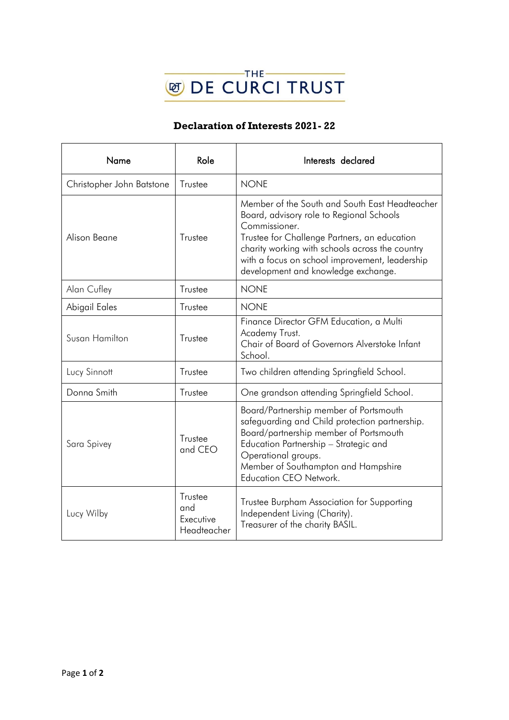

## **Declaration of Interests 2021- 22**

| Name                      | Role                                       | Interests declared                                                                                                                                                                                                                                                                                      |
|---------------------------|--------------------------------------------|---------------------------------------------------------------------------------------------------------------------------------------------------------------------------------------------------------------------------------------------------------------------------------------------------------|
| Christopher John Batstone | Trustee                                    | <b>NONE</b>                                                                                                                                                                                                                                                                                             |
| Alison Beane              | Trustee                                    | Member of the South and South East Headteacher<br>Board, advisory role to Regional Schools<br>Commissioner.<br>Trustee for Challenge Partners, an education<br>charity working with schools across the country<br>with a focus on school improvement, leadership<br>development and knowledge exchange. |
| Alan Cufley               | Trustee                                    | <b>NONE</b>                                                                                                                                                                                                                                                                                             |
| Abigail Eales             | Trustee                                    | <b>NONE</b>                                                                                                                                                                                                                                                                                             |
| Susan Hamilton            | Trustee                                    | Finance Director GFM Education, a Multi<br>Academy Trust.<br>Chair of Board of Governors Alverstoke Infant<br>School.                                                                                                                                                                                   |
| Lucy Sinnott              | Trustee                                    | Two children attending Springfield School.                                                                                                                                                                                                                                                              |
| Donna Smith               | Trustee                                    | One grandson attending Springfield School.                                                                                                                                                                                                                                                              |
| Sara Spivey               | Trustee<br>and CEO                         | Board/Partnership member of Portsmouth<br>safeguarding and Child protection partnership.<br>Board/partnership member of Portsmouth<br>Education Partnership - Strategic and<br>Operational groups.<br>Member of Southampton and Hampshire<br>Education CEO Network.                                     |
| Lucy Wilby                | Trustee<br>and<br>Executive<br>Headteacher | Trustee Burpham Association for Supporting<br>Independent Living (Charity).<br>Treasurer of the charity BASIL.                                                                                                                                                                                          |